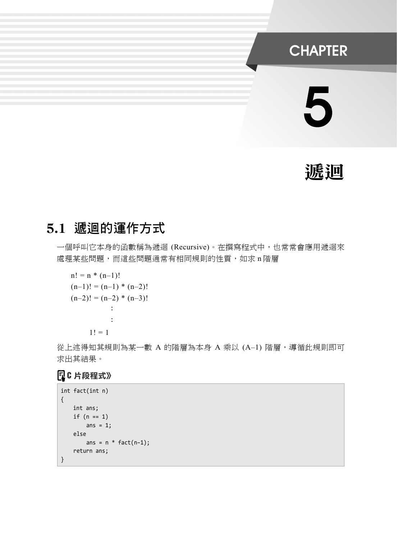## **CHAPTER**

# 5

# 遞迴

## 5.1 遞迴的運作方式

一個呼叫它本身的函數稱為遞迴 (Recursive)。在撰寫程式中,也常常會應用遞迴來 處理某些問題,而這些問題通常有相同規則的性質,如求 n 階層

n! = n \* (n–1)! (n–1)! = (n–1) \* (n–2)! (n–2)! = (n–2) \* (n–3)! : : 1! = 1

從上述得知其規則為某一數 A 的階層為本身 A 乘以 (A-1) 階層,導循此規則即可 求出其結果。

```
int fact(int n) 
{ 
    int ans; 
    if (n == 1)ans = 1;
     else 
        ans = n * fact(n-1);
     return ans; 
}
```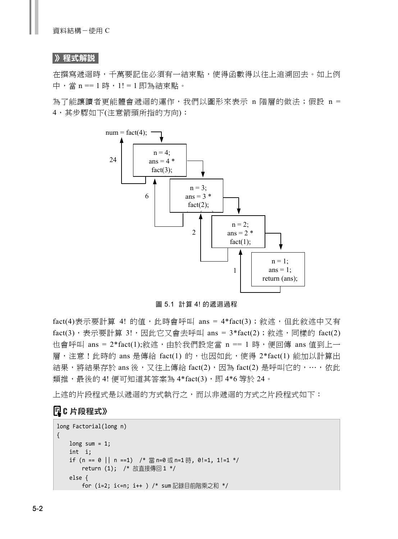#### 》程式解說

在撰寫遞迴時,千萬要記住必須有一結束點,使得函數得以往上追溯回去。如上例 中,當 n == 1 時,1! = 1 即為結束點。

為了能讓讀者更能體會遞迴的運作,我們以圖形來表示 n 階層的做法; 假設 n = 4,其步驟如下(注意箭頭所指的方向):



圖 5.1 計算 4! 的遞迴過程

fact(4)表示要計算 4! 的值,此時會呼叫 ans =  $4*$ fact(3); 敘述,但此敘述中又有 fact(3),表示要計算 3!,因此它又會去呼叫 ans = 3\*fact(2);敘述,同樣的 fact(2) 也會呼叫 ans = 2\*fact(1);敘述,由於我們設定當 n == 1 時,便回傳 ans 值到上一 層,注意!此時的 ans 是傳給 fact(1) 的,也因如此,使得 2\*fact(1) 能加以計算出 結果,將結果存於 ans 後,又往上傳給 fact(2),因為 fact(2) 是呼叫它的,…,依此 類推,最後的 4! 便可知道其答案為 4\*fact(3), 即 4\*6 等於 24。

上述的片段程式是以遞迴的方式執行之,而以非遞迴的方式之片段程式如下:

```
long Factorial(long n) 
{ 
   long sum = 1;
     int i; 
    if (n == 0 || n ==1) /* 當 n=0 或 n=1 時, 0!=1, 1!=1 */
         return (1); /* 故直接傳回 1 */ 
     else { 
         for (i=2; i<=n; i++ ) /* sum 記錄目前階乘之和 */
```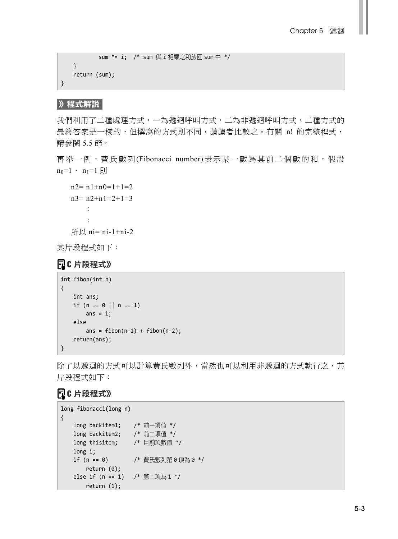```
 sum *= i; /* sum 與 i 相乘之和放回 sum 中 */ 
     } 
     return (sum); 
}
```
### 》程式解說

我們利用了二種處理方式,一為遞迴呼叫方式,二為非遞迴呼叫方式,二種方式的 最終答案是一樣的,但撰寫的方式則不同,請讀者比較之。有關 n! 的完整程式, 請參閱 5.5 節。

再舉一例,費氏數列(Fibonacci number)表示某一數為其前二個數的和,假設  $n_0=1$ ,  $n_1=1$  則

```
n2=n1+n0=1+1=2n3=n2+n1=2+1=3 :
 :
所以 ni= ni-1+ni-2
```
其片段程式如下:

## **【10片段程式》**

```
int fibon(int n) 
{ 
     int ans; 
    if (n == 0 || n == 1)
        ans = 1;
     else 
        ans = fibon(n-1) + fibon(n-2);
     return(ans); 
}
```
除了以遞迴的方式可以計算費氏數列外,當然也可以利用非遞迴的方式執行之,其 片段程式如下:

```
long fibonacci(long n) 
{ 
    long backitem1; /* 前一項值 */ 
    long backitem2; /* 前二項值 */ 
    long thisitem; /* 目前項數值 */ 
    long i; 
    if (n == 0) /* 費氏數列第 0 項為 0 */ 
       return (0); 
    else if (n == 1) /* 第二項為 1 */ 
        return (1);
```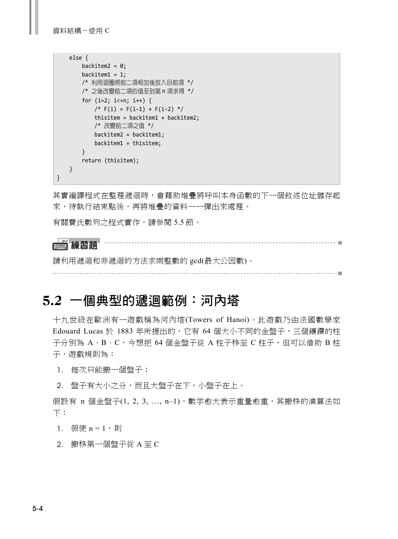```
 else { 
       backitem2 = 0;
       backitem1 = 1;
        /* 利用迴圈將前二項相加後放入目前項 */ 
        /* 之後改變前二項的值至到第 n 項求得 */ 
       for (i=2; i<=n; i++) {
           /* F(i) = F(i-1) + F(i-2) */
            thisitem = backitem1 + backitem2; 
            /* 改變前二項之值 */ 
            backitem2 = backitem1; 
            backitem1 = thisitem; 
        } 
        return (thisitem); 
    } 
}
```
其實編譯程式在整理遞迴時,會藉助堆疊將呼叫本身函數的下一個敘述位址儲存起 來,待執行結束點後,再將堆疊的資料一一彈出來處理。

有關費氏數列之程式實作,請參閱 5.5 節。



請利用遞迴和非遞迴的方法求兩整數的 gcd(最大公因數)。

## 5.2 一個典型的遞迴範例:河內塔

十九世級在歐洲有一遊戲稱為河內塔(Towers of Hanoi)。此遊戲乃由法國數學家 Edouard Lucas 於 1883 年所提出的,它有 64 個大小不同的金盤子,三個鑲鑽的柱 子分別為 A、B、C,今想把 64 個金盤子從 A 柱子移至 C 柱子,但可以借助 B 柱 子,遊戲規則為:

1. 每次只能搬一個盤子;

2. 盤子有大小之分,而且大盤子在下,小盤子在上。

假設有 n 個金盤子(1, 2, 3, ..., n-1),數字愈大表示重量愈重,其搬移的演算法如 下:

1. 假使  $n = 1$ , 則

2. 搬移第一個盤子從 A 至 C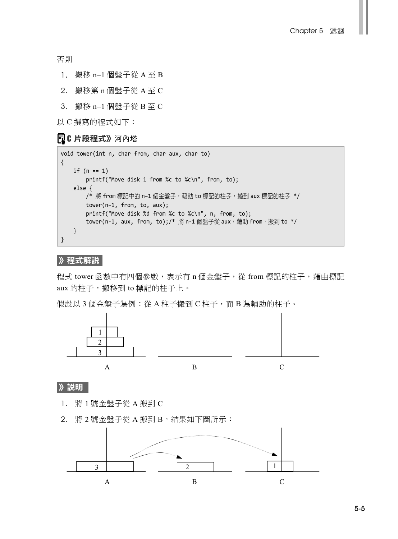否則

- 1. 搬移 n–1 個盤子從 A 至 B
- 2. 搬移第 n 個盤子從 A 至 C
- 3. 搬移 n–1 個盤子從 B 至 C
- 以 C 撰寫的程式如下:

### **同C 片段程式》**河內塔

```
void tower(int n, char from, char aux, char to) 
{ 
   if (n == 1) printf("Move disk 1 from %c to %c\n", from, to); 
    else { 
       /* 將 from 標記中的 n-1 個金盤子,藉助 to 標記的柱子, 搬到 aux 標記的柱子 */
        tower(n–1, from, to, aux); 
        printf("Move disk %d from %c to %c\n", n, from, to); 
       tower(n-1, aux, from, to);/* 將 n-1 個盤子從 aux,藉助 from, 搬到 to */
    } 
}
```
#### 》程式解說

程式 tower 函數中有四個參數,表示有 n 個金盤子,從 from 標記的柱子,藉由標記 aux 的柱子, 搬移到 to 標記的柱子上。

假設以 3 個金盤子為例: 從 A 柱子搬到 C 柱子, 而 B 為輔助的柱子。



》說明

- 1. 將 1 號金盤子從 A 搬到 C
- 2. 將 2號金盤子從 A 搬到 B,結果如下圖所示:

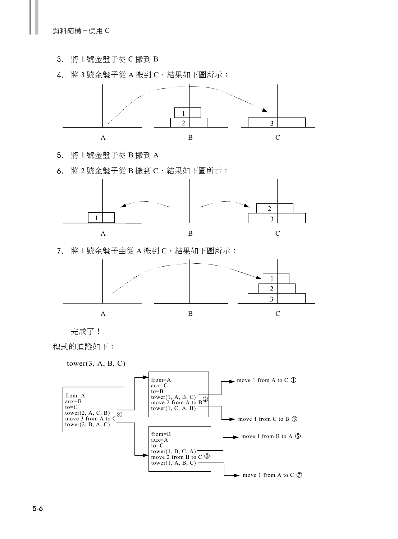資料結構-使用 C

- 3. 將 1 號金盤子從 C 搬到 B
- 4. 將 3號金盤子從 A 搬到 C,結果如下圖所示:



- 5. 將 1 號金盤子從 B 搬到 A
- 6. 將 2號金盤子從 B 搬到 C,結果如下圖所示:



7. 將 1號金盤子由從 A 搬到 C,結果如下圖所示:





程式的追蹤如下:

 $tower(3, A, B, C)$ 

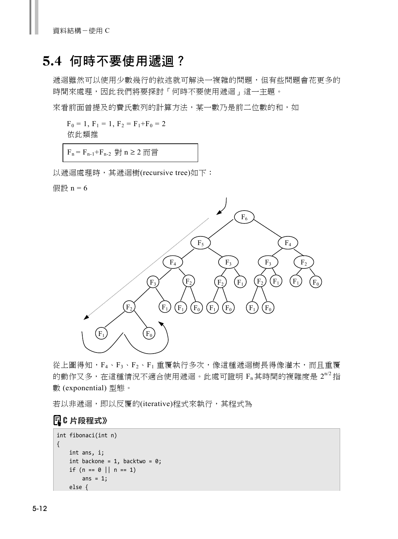## 5.4 何時不要使用遞迴?

遞迴雖然可以使用少數幾行的敘述就可解決一複雜的問題,但有些問題會花更多的 時間來處理,因此我們將要探討「何時不要使用遞迴」這一主題。

來看前面曾提及的費氏數列的計算方法,某一數乃是前二位數的和,如

 $F_0 = 1, F_1 = 1, F_2 = F_1 + F_0 = 2$ 依此類推

 $F_n = F_{n-1} + F_{n-2}$ 對  $n \geq 2$  而言

以遞迴處理時,其遞迴樹(recursive tree)如下:

假設  $n = 6$ 



從上圖得知,F<sub>4</sub>、F<sub>3</sub>、F<sub>2</sub>、F<sub>1</sub> 重覆執行多次,像這種遞迴樹長得像灌木,而且重覆 的動作又多,在這種情況不適合使用遞迴。此處可證明 F,其時間的複雜度是  $2^{n/2}$ 指 數 (exponential) 型態。

若以非遞迴,即以反覆的(iterative)程式來執行,其程式為

```
int fibonaci(int n) 
{ 
     int ans, i; 
    int backone = 1, backtwo = 0;
    if (n == 0 || n == 1)ans = 1;
     else {
```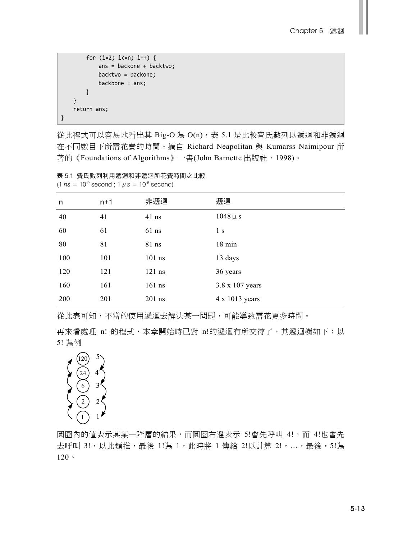```
 for (i=2; i<=n; i++) { 
               ans = backone + backtwo; 
               backtwo = backone; 
               backbone = ans; 
          } 
     } 
     return ans; 
}
```
從此程式可以容易地看出其 Big-O 為 O(n),表 5.1 是比較費氏數列以遞迴和非遞迴 在不同數目下所需花費的時間。摘自 Richard Neapolitan 與 Kumarss Naimipour 所 著的《Foundations of Algorithms》一書(John Barnette 出版社,1998)。

| n   | $n+1$ | 非遞迴      | 遞迴               |
|-----|-------|----------|------------------|
| 40  | 41    | $41$ ns  | $1048 \mu s$     |
| 60  | 61    | $61$ ns  | 1 s              |
| 80  | 81    | 81 ns    | $18 \text{ min}$ |
| 100 | 101   | $101$ ns | 13 days          |
| 120 | 121   | $121$ ns | 36 years         |
| 160 | 161   | $161$ ns | 3.8 x 107 years  |
| 200 | 201   | $201$ ns | 4 x 1013 years   |

表 5.1 費氏數列利用遞迴和非遞迴所花費時間之比較  $(1 \text{ ns} = 10^{-9} \text{ second} ; 1 \mu s = 10^{-6} \text{ second})$ 

從此表可知,不當的使用遞迴去解決某一問題,可能導致需花更多時間。

再來看處理 n! 的程式,本章開始時已對 n!的遞迴有所交待了,其遞迴樹如下:以 5! 為例



圓圈內的值表示其某一階層的結果,而圓圈右邊表示 5!會先呼叫 4!,而 4!也會先 去呼叫 3!,以此類推,最後 1!為 1,此時將 1 傳給 2!以計算 2!,..,最後,5!為 120。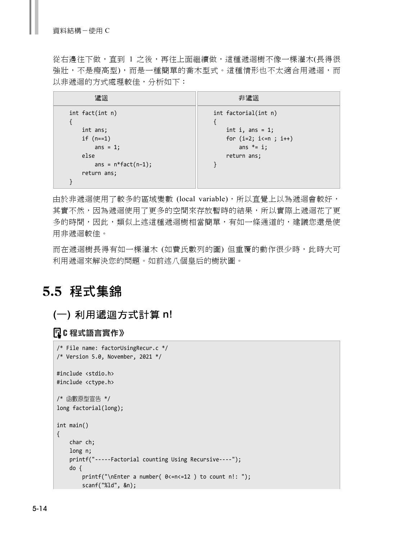從右邊往下做,直到 1 之後,再往上面繼續做,這種遞迴樹不像一棵灌木(長得很 強壯,不是瘦高型),而是一種簡單的喬木型式。這種情形也不太適合用遞迴,而 以非遞迴的方式處理較佳,分析如下:

| 滤迴                                                                                                         | 非遞迴                                                                                                 |
|------------------------------------------------------------------------------------------------------------|-----------------------------------------------------------------------------------------------------|
| $int$ fact(int n)<br>int ans;<br>if $(n==1)$<br>ans = $1$ ;<br>else<br>ans = $n*fact(n-1);$<br>return ans; | int factorial(int n)<br>int i, ans = $1$ ;<br>for $(i=2; i<=n; i++)$<br>ans $*= i$ ;<br>return ans; |
|                                                                                                            |                                                                                                     |

由於非遞迴使用了較多的區域變數 (local variable),所以直覺上以為遞迴會較好, 其實不然,因為遞迴使用了更多的空間來存放暫時的結果,所以實際上遞迴花了更 多的時間,因此,類似上述這種遞迴樹相當簡單,有如一條通道的,建議您還是使 用非遞迴較佳。

而在遞迴樹長得有如一棵灌木 (如費氏數列的圖) 但重覆的動作很少時,此時大可 利用遞迴來解決您的問題。如前述八個皇后的樹狀圖。

## 5.5 程式集錦

## (一) 利用遞迴方式計算 n!

## **C** 程式語言實作》

```
/* File name: factorUsingRecur.c */ 
/* Version 5.0, November, 2021 */ 
#include <stdio.h> 
#include <ctype.h> 
/* 函數原型宣告 */ 
long factorial(long); 
int main() 
{ 
     char ch; 
     long n; 
     printf("-----Factorial counting Using Recursive----"); 
     do { 
         printf("\nEnter a number( 0<=n<=12 ) to count n!: "); 
         scanf("%ld", &n);
```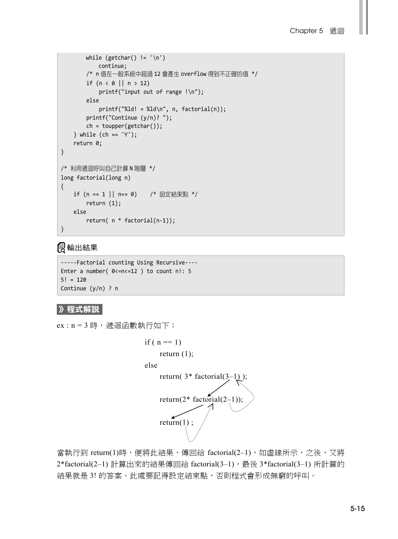```
while (getchar() != '\n')
             continue; 
         /* n 值在一般系統中超過 12 會產生 overflow 得到不正確的值 */ 
        if (n < 0 | n > 12) printf("input out of range !\n"); 
         else 
            printf("%Id! = %Id\n", n, factorial(n)); printf("Continue (y/n)? "); 
         ch = toupper(getchar()); 
     } while (ch == 'Y'); 
    return 0; 
} 
/* 利用遞迴呼叫自己計算 N 階層 */ 
long factorial(long n) 
{ 
     if (n == 1 || n== 0) /* 設定結束點 */ 
         return (1); 
    else 
         return( n * factorial(n-1)); 
}
```
## 輸出結果

```
-----Factorial counting Using Recursive---- 
Enter a number( 0 < n < 12 ) to count n!: 5
5! = 120 
Continue (y/n) ? n
```
#### 》程式解說

ex : n = 3 時, 遞迴函數執行如下:

```
if (n == 1)
    return (1);
 else 
    return(3* factorial(3-1);
    return(2^* factorial(2-1));
    return(1);
```
當執行到 return(1)時,便將此結果,傳回給 factorial(2–1),如虛線所示,之後,又將 2\*factorial(2–1) 計算出來的結果傳回給 factorial(3–1),最後 3\*factorial(3–1) 所計算的 結果就是 3! 的答案。此處要記得設定結束點,否則程式會形成無窮的呼叫。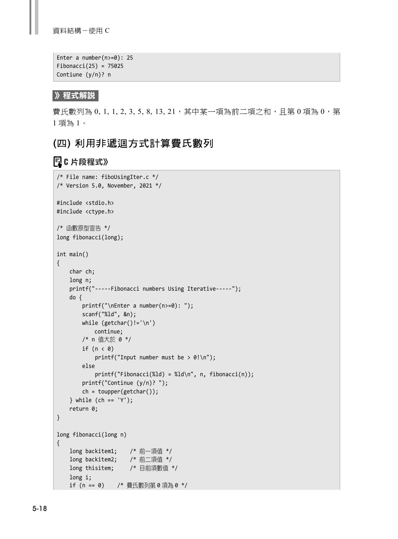資料結構-使用 C

```
Enter a number(n>=0): 25 
Fibonacci(25) = 75025 
Contiune (y/n)? n
```
》程式解說

費氏數列為 0, 1, 1, 2, 3, 5, 8, 13, 21, 其中某一項為前二項之和,且第 0 項為 0, 第 1 項為 1。

## (四) 利用非遞迴方式計算費氏數列

```
/* File name: fiboUsingIter.c */ 
/* Version 5.0, November, 2021 */ 
#include <stdio.h> 
#include <ctype.h> 
/* 函數原型宣告 */ 
long fibonacci(long); 
int main() 
{ 
     char ch; 
     long n; 
     printf("-----Fibonacci numbers Using Iterative-----"); 
     do { 
         printf("\nEnter a number(n>=0): "); 
         scanf("%ld", &n); 
         while (getchar()!='\n') 
             continue; 
         /* n 值大於 0 */ 
        if (n < 0)printf("Input number must be > 0!\n\times");
         else 
            printf("Fibonacci(\%ld) = %ld\n", n, fibonacci(n)); printf("Continue (y/n)? "); 
         ch = toupper(getchar()); 
     } while (ch == 'Y'); 
     return 0; 
} 
long fibonacci(long n) 
{ 
     long backitem1; /* 前一項值 */ 
     long backitem2; /* 前二項值 */ 
    long thisitem; /* 目前項數值 */ 
     long i; 
     if (n == 0) /* 費氏數列第 0 項為 0 */
```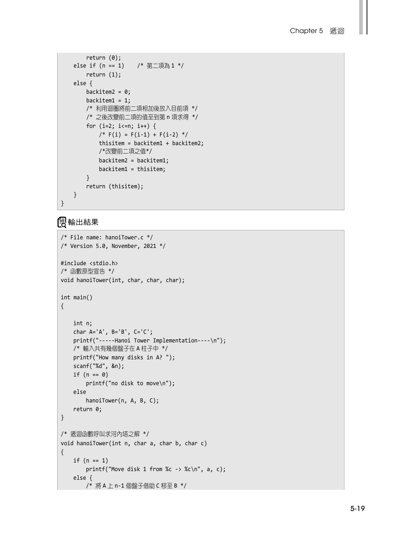```
 return (0); 
     else if (n == 1) /* 第二項為 1 */ 
        return (1); 
     else { 
       backitem2 = 0;
       backitem1 = 1;
        /* 利用迴圈將前二項相加後放入目前項 */ 
        /* 之後改變前二項的值至到第 n 項求得 */ 
        for (i=2; i<=n; i++) { 
           /* F(i) = F(i-1) + F(i-2) * thisitem = backitem1 + backitem2; 
            /*改變前二項之值*/ 
            backitem2 = backitem1; 
            backitem1 = thisitem; 
        } 
        return (thisitem); 
    } 
}
```
## 輸出結果

```
/* File name: hanoiTower.c */ 
/* Version 5.0, November, 2021 */ 
#include <stdio.h> 
/* 函數原型宣告 */ 
void hanoiTower(int, char, char, char); 
int main() 
{ 
    int n; 
     char A='A', B='B', C='C'; 
     printf("-----Hanoi Tower Implementation----\n"); 
    /* 輸入共有幾個盤子在 A 柱子中 */ 
     printf("How many disks in A? "); 
    scanf("%d", &n); 
   if (n == 0) printf("no disk to move\n"); 
     else 
         hanoiTower(n, A, B, C); 
     return 0; 
} 
/* 遞迴函數呼叫求河內塔之解 */ 
void hanoiTower(int n, char a, char b, char c) 
{ 
    if (n == 1) printf("Move disk 1 from %c -> %c\n", a, c); 
     else { 
         /* 將 A 上 n-1 個盤子借助 C 移至 B */
```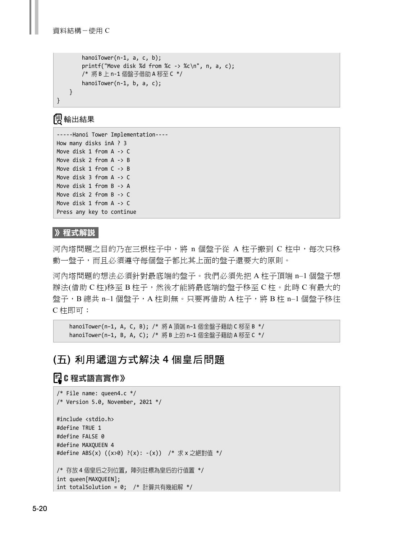```
 hanoiTower(n-1, a, c, b); 
     printf("Move disk %d from %c -> %c\n", n, a, c); 
     /* 將 B 上 n-1 個盤子借助 A 移至 C */ 
     hanoiTower(n-1, b, a, c); 
 }
```
## 輸出結果

}

```
-----Hanoi Tower Implementation---- 
How many disks inA ? 3 
Move disk 1 from A -> C 
Move disk 2 from A -> B 
Move disk 1 from C -> B 
Move disk 3 from A -> C 
Move disk 1 from B -> A 
Move disk 2 from B -> C 
Move disk 1 from A -> C 
Press any key to continue
```
#### 》程式解說

河內塔問題之目的乃在三根柱子中,將 n 個盤子從 A 柱子搬到 C 柱中,每次只移 動一盤子,而且必須遵守每個盤子都比其上面的盤子還要大的原則。

河內塔問題的想法必須針對最底端的盤子。我們必須先把 A 柱子頂端 n–1 個盤子想 辦法(借助 C 柱)移至 B 柱子,然後才能將最底端的盤子移至 C 柱。此時 C 有最大的 盤子, B 總共 n-1 個盤子, A 柱則無。只要再借助 A 柱子, 將 B 柱 n-1 個盤子移往 C 柱即可:

```
 hanoiTower(n–1, A, C, B); /* 將 A 頂端 n–1 個金盤子藉助 C 移至 B */ 
 hanoiTower(n–1, B, A, C); /* 將 B 上的 n–1 個金盤子藉助 A 移至 C */
```
## (五) 利用遞迴方式解決 4 個皇后問題

## **C** 程式語言實作》

```
/* File name: queen4.c */ 
/* Version 5.0, November, 2021 */ 
#include <stdio.h> 
#define TRUE 1 
#define FALSE 0 
#define MAXQUEEN 4 
#define ABS(x) ((x>0) ?(x): -(x)) /* 求 x 之絕對值 */ 
/* 存放 4 個皇后之列位置, 陣列註標為皇后的行值置 */ 
int queen[MAXQUEEN]; 
int totalSolution = 0; /* 計算共有幾組解 */
```